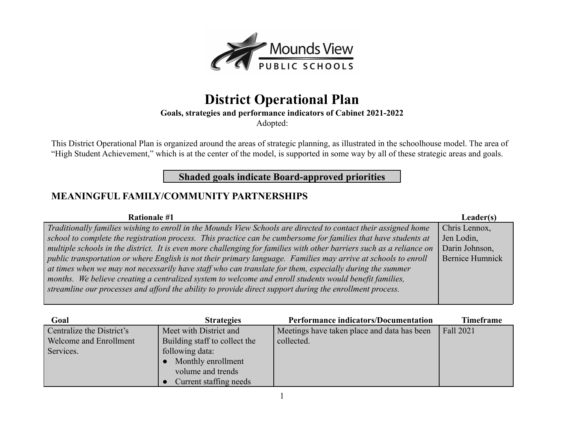

# **District Operational Plan**

**Goals, strategies and performance indicators of Cabinet 2021-2022**

Adopted:

This District Operational Plan is organized around the areas of strategic planning, as illustrated in the schoolhouse model. The area of "High Student Achievement," which is at the center of the model, is supported in some way by all of these strategic areas and goals.

#### **Shaded goals indicate Board-approved priorities**

#### **MEANINGFUL FAMILY/COMMUNITY PARTNERSHIPS**

| <b>Rationale #1</b>                                                                                                  | Leader(s)              |
|----------------------------------------------------------------------------------------------------------------------|------------------------|
| Traditionally families wishing to enroll in the Mounds View Schools are directed to contact their assigned home      | Chris Lennox,          |
| school to complete the registration process. This practice can be cumbersome for families that have students at      | Jen Lodin,             |
| multiple schools in the district. It is even more challenging for families with other barriers such as a reliance on | Darin Johnson,         |
| public transportation or where English is not their primary language. Families may arrive at schools to enroll       | <b>Bernice Humnick</b> |
| at times when we may not necessarily have staff who can translate for them, especially during the summer             |                        |
| months. We believe creating a centralized system to welcome and enroll students would benefit families,              |                        |
| streamline our processes and afford the ability to provide direct support during the enrollment process.             |                        |
|                                                                                                                      |                        |

| Goal                      | <b>Strategies</b>             | <b>Performance indicators/Documentation</b> | <b>Timeframe</b> |
|---------------------------|-------------------------------|---------------------------------------------|------------------|
| Centralize the District's | Meet with District and        | Meetings have taken place and data has been | Fall 2021        |
| Welcome and Enrollment    | Building staff to collect the | collected.                                  |                  |
| Services.                 | following data:               |                                             |                  |
|                           | Monthly enrollment            |                                             |                  |
|                           | volume and trends             |                                             |                  |
|                           | Current staffing needs        |                                             |                  |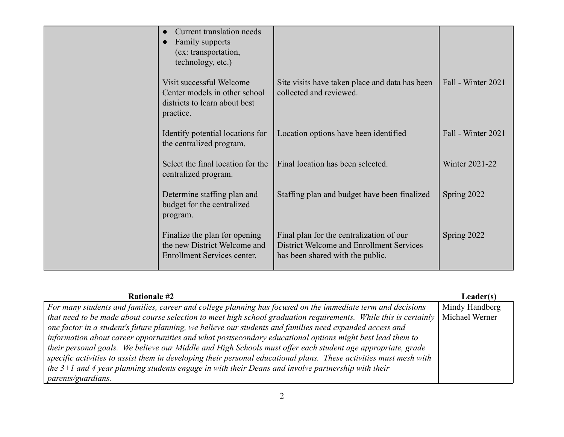| Current translation needs<br>Family supports<br>(ex: transportation,<br>technology, etc.)               |                                                                                                                          |                    |
|---------------------------------------------------------------------------------------------------------|--------------------------------------------------------------------------------------------------------------------------|--------------------|
| Visit successful Welcome<br>Center models in other school<br>districts to learn about best<br>practice. | Site visits have taken place and data has been<br>collected and reviewed.                                                | Fall - Winter 2021 |
| Identify potential locations for<br>the centralized program.                                            | Location options have been identified                                                                                    | Fall - Winter 2021 |
| Select the final location for the<br>centralized program.                                               | Final location has been selected.                                                                                        | Winter 2021-22     |
| Determine staffing plan and<br>budget for the centralized<br>program.                                   | Staffing plan and budget have been finalized                                                                             | Spring 2022        |
| Finalize the plan for opening<br>the new District Welcome and<br>Enrollment Services center.            | Final plan for the centralization of our<br>District Welcome and Enrollment Services<br>has been shared with the public. | Spring 2022        |

| <b>Rationale #2</b>                                                                                                               | Leader(s)      |
|-----------------------------------------------------------------------------------------------------------------------------------|----------------|
| For many students and families, career and college planning has focused on the immediate term and decisions                       | Mindy Handberg |
| that need to be made about course selection to meet high school graduation requirements. While this is certainly   Michael Werner |                |
| one factor in a student's future planning, we believe our students and families need expanded access and                          |                |
| information about career opportunities and what postsecondary educational options might best lead them to                         |                |
| their personal goals. We believe our Middle and High Schools must offer each student age appropriate, grade                       |                |
| specific activities to assist them in developing their personal educational plans. These activities must mesh with                |                |
| the $3+1$ and 4 year planning students engage in with their Deans and involve partnership with their                              |                |
| <i>parents/guardians.</i>                                                                                                         |                |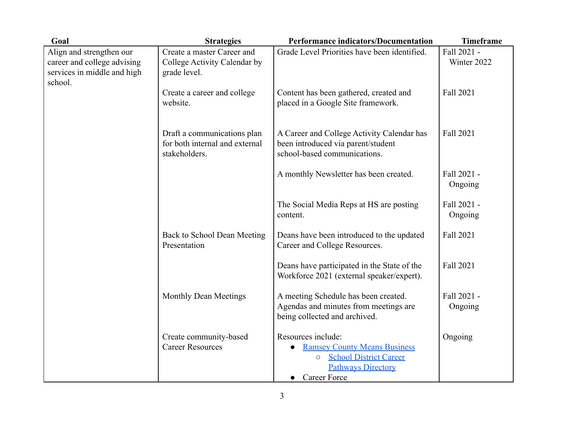| Goal                                                                                              | <b>Strategies</b>                                                              | <b>Performance indicators/Documentation</b>                                                                                                               | <b>Timeframe</b>           |
|---------------------------------------------------------------------------------------------------|--------------------------------------------------------------------------------|-----------------------------------------------------------------------------------------------------------------------------------------------------------|----------------------------|
| Align and strengthen our<br>career and college advising<br>services in middle and high<br>school. | Create a master Career and<br>College Activity Calendar by<br>grade level.     | Grade Level Priorities have been identified.                                                                                                              | Fall 2021 -<br>Winter 2022 |
|                                                                                                   | Create a career and college<br>website.                                        | Content has been gathered, created and<br>placed in a Google Site framework.                                                                              | Fall 2021                  |
|                                                                                                   | Draft a communications plan<br>for both internal and external<br>stakeholders. | A Career and College Activity Calendar has<br>been introduced via parent/student<br>school-based communications.                                          | Fall 2021                  |
|                                                                                                   |                                                                                | A monthly Newsletter has been created.                                                                                                                    | Fall 2021 -<br>Ongoing     |
|                                                                                                   |                                                                                | The Social Media Reps at HS are posting<br>content.                                                                                                       | Fall 2021 -<br>Ongoing     |
|                                                                                                   | Back to School Dean Meeting<br>Presentation                                    | Deans have been introduced to the updated<br>Career and College Resources.                                                                                | Fall 2021                  |
|                                                                                                   |                                                                                | Deans have participated in the State of the<br>Workforce 2021 (external speaker/expert).                                                                  | Fall 2021                  |
|                                                                                                   | <b>Monthly Dean Meetings</b>                                                   | A meeting Schedule has been created.<br>Agendas and minutes from meetings are<br>being collected and archived.                                            | Fall 2021 -<br>Ongoing     |
|                                                                                                   | Create community-based<br><b>Career Resources</b>                              | Resources include:<br><b>Ramsey County Means Business</b><br><b>School District Career</b><br>$\circ$<br><b>Pathways Directory</b><br><b>Career Force</b> | Ongoing                    |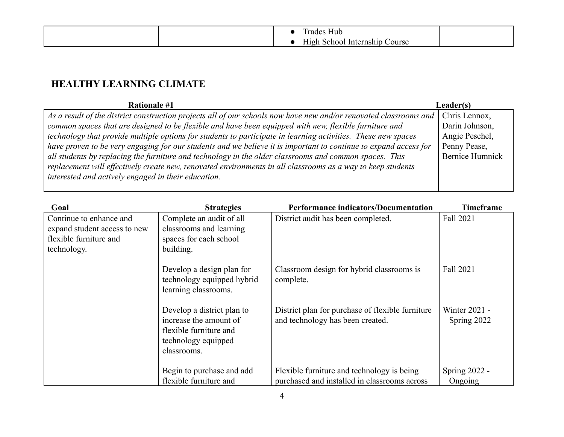|  | $\sim$ $\sim$<br>-lub      |        |  |
|--|----------------------------|--------|--|
|  | `choo.<br>mship<br>Infern: | `ourse |  |

#### **HEALTHY LEARNING CLIMATE**

| <b>Rationale #1</b>                                                                                               | Leader(s)              |
|-------------------------------------------------------------------------------------------------------------------|------------------------|
| As a result of the district construction projects all of our schools now have new and/or renovated classrooms and | Chris Lennox,          |
| common spaces that are designed to be flexible and have been equipped with new, flexible furniture and            | Darin Johnson,         |
| technology that provide multiple options for students to participate in learning activities. These new spaces     | Angie Peschel,         |
| have proven to be very engaging for our students and we believe it is important to continue to expand access for  | Penny Pease,           |
| all students by replacing the furniture and technology in the older classrooms and common spaces. This            | <b>Bernice Humnick</b> |
| replacement will effectively create new, renovated environments in all classrooms as a way to keep students       |                        |
| interested and actively engaged in their education.                                                               |                        |
|                                                                                                                   |                        |

| Goal                                                                                             | <b>Strategies</b>                                                                                                    | <b>Performance indicators/Documentation</b>                                                | <b>Timeframe</b>             |
|--------------------------------------------------------------------------------------------------|----------------------------------------------------------------------------------------------------------------------|--------------------------------------------------------------------------------------------|------------------------------|
| Continue to enhance and<br>expand student access to new<br>flexible furniture and<br>technology. | Complete an audit of all<br>classrooms and learning<br>spaces for each school<br>building.                           | District audit has been completed.                                                         | Fall 2021                    |
|                                                                                                  | Develop a design plan for<br>technology equipped hybrid<br>learning classrooms.                                      | Classroom design for hybrid classrooms is<br>complete.                                     | Fall 2021                    |
|                                                                                                  | Develop a district plan to<br>increase the amount of<br>flexible furniture and<br>technology equipped<br>classrooms. | District plan for purchase of flexible furniture<br>and technology has been created.       | Winter 2021 -<br>Spring 2022 |
|                                                                                                  | Begin to purchase and add<br>flexible furniture and                                                                  | Flexible furniture and technology is being<br>purchased and installed in classrooms across | Spring $2022 -$<br>Ongoing   |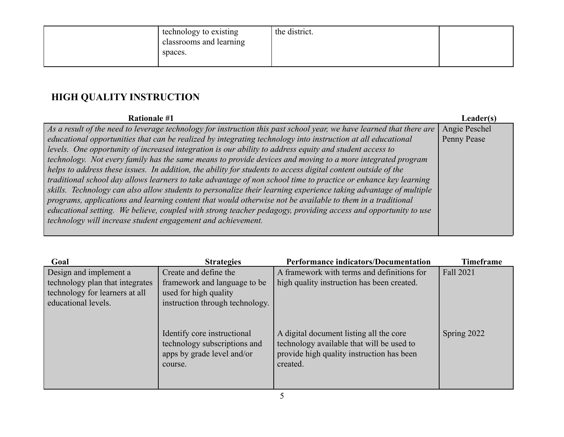| technology to existing<br>classrooms and learning<br>spaces. | the district. |  |
|--------------------------------------------------------------|---------------|--|
|--------------------------------------------------------------|---------------|--|

## **HIGH QUALITY INSTRUCTION**

| <b>Rationale #1</b>                                                                                                  | <b>Leader(s)</b> |
|----------------------------------------------------------------------------------------------------------------------|------------------|
| As a result of the need to leverage technology for instruction this past school year, we have learned that there are | Angie Peschel    |
| educational opportunities that can be realized by integrating technology into instruction at all educational         | Penny Pease      |
| levels. One opportunity of increased integration is our ability to address equity and student access to              |                  |
| technology. Not every family has the same means to provide devices and moving to a more integrated program           |                  |
| helps to address these issues. In addition, the ability for students to access digital content outside of the        |                  |
| traditional school day allows learners to take advantage of non school time to practice or enhance key learning      |                  |
| skills. Technology can also allow students to personalize their learning experience taking advantage of multiple     |                  |
| programs, applications and learning content that would otherwise not be available to them in a traditional           |                  |
| educational setting. We believe, coupled with strong teacher pedagogy, providing access and opportunity to use       |                  |
| technology will increase student engagement and achievement.                                                         |                  |
|                                                                                                                      |                  |

| Goal                            | <b>Strategies</b>                                                                                    | <b>Performance indicators/Documentation</b>                                                                                                   | <b>Timeframe</b> |
|---------------------------------|------------------------------------------------------------------------------------------------------|-----------------------------------------------------------------------------------------------------------------------------------------------|------------------|
| Design and implement a          | Create and define the                                                                                | A framework with terms and definitions for                                                                                                    | Fall 2021        |
| technology plan that integrates | framework and language to be                                                                         | high quality instruction has been created.                                                                                                    |                  |
| technology for learners at all  | used for high quality                                                                                |                                                                                                                                               |                  |
| educational levels.             | instruction through technology.                                                                      |                                                                                                                                               |                  |
|                                 | Identify core instructional<br>technology subscriptions and<br>apps by grade level and/or<br>course. | A digital document listing all the core<br>technology available that will be used to<br>provide high quality instruction has been<br>created. | Spring 2022      |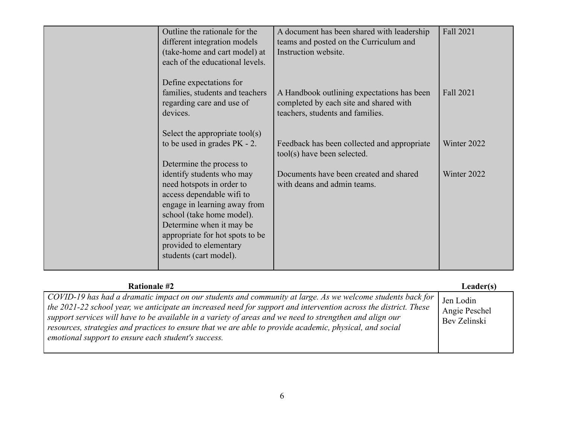| Outline the rationale for the<br>different integration models<br>(take-home and cart model) at<br>each of the educational levels.                                                                                                                                   | A document has been shared with leadership<br>teams and posted on the Curriculum and<br>Instruction website.             | Fall 2021   |
|---------------------------------------------------------------------------------------------------------------------------------------------------------------------------------------------------------------------------------------------------------------------|--------------------------------------------------------------------------------------------------------------------------|-------------|
| Define expectations for<br>families, students and teachers<br>regarding care and use of<br>devices.                                                                                                                                                                 | A Handbook outlining expectations has been<br>completed by each site and shared with<br>teachers, students and families. | Fall 2021   |
| Select the appropriate tool(s)<br>to be used in grades $PK - 2$ .<br>Determine the process to                                                                                                                                                                       | Feedback has been collected and appropriate<br>tool(s) have been selected.                                               | Winter 2022 |
| identify students who may<br>need hotspots in order to<br>access dependable wifi to<br>engage in learning away from<br>school (take home model).<br>Determine when it may be<br>appropriate for hot spots to be<br>provided to elementary<br>students (cart model). | Documents have been created and shared<br>with deans and admin teams.                                                    | Winter 2022 |

| <b>Rationale #2</b>                                                                                                                                                                                                                                                                                                                                                                                                                                                                                           | Leader(s)                                  |
|---------------------------------------------------------------------------------------------------------------------------------------------------------------------------------------------------------------------------------------------------------------------------------------------------------------------------------------------------------------------------------------------------------------------------------------------------------------------------------------------------------------|--------------------------------------------|
| COVID-19 has had a dramatic impact on our students and community at large. As we welcome students back for<br>the 2021-22 school year, we anticipate an increased need for support and intervention across the district. These<br>support services will have to be available in a variety of areas and we need to strengthen and align our<br>resources, strategies and practices to ensure that we are able to provide academic, physical, and social<br>emotional support to ensure each student's success. | Jen Lodin<br>Angie Peschel<br>Bev Zelinski |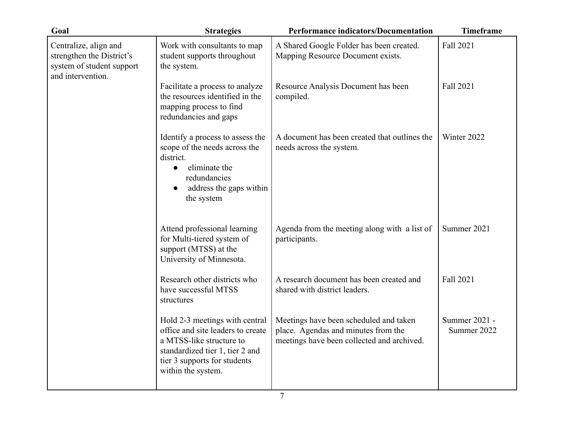| Goal                                                                                                 | <b>Strategies</b>                                                                                                                                                                        | <b>Performance indicators/Documentation</b>                                                                                 | <b>Timeframe</b>             |
|------------------------------------------------------------------------------------------------------|------------------------------------------------------------------------------------------------------------------------------------------------------------------------------------------|-----------------------------------------------------------------------------------------------------------------------------|------------------------------|
| Centralize, align and<br>strengthen the District's<br>system of student support<br>and intervention. | Work with consultants to map<br>student supports throughout<br>the system.                                                                                                               | A Shared Google Folder has been created.<br>Mapping Resource Document exists.                                               | Fall 2021                    |
|                                                                                                      | Facilitate a process to analyze<br>the resources identified in the<br>mapping process to find<br>redundancies and gaps                                                                   | Resource Analysis Document has been<br>compiled.                                                                            | Fall 2021                    |
|                                                                                                      | Identify a process to assess the<br>scope of the needs across the<br>district.<br>eliminate the<br>$\bullet$<br>redundancies<br>address the gaps within<br>the system                    | A document has been created that outlines the<br>needs across the system.                                                   | Winter 2022                  |
|                                                                                                      | Attend professional learning<br>for Multi-tiered system of<br>support (MTSS) at the<br>University of Minnesota.                                                                          | Agenda from the meeting along with a list of<br>participants.                                                               | Summer 2021                  |
|                                                                                                      | Research other districts who<br>have successful MTSS<br>structures                                                                                                                       | A research document has been created and<br>shared with district leaders.                                                   | Fall 2021                    |
|                                                                                                      | Hold 2-3 meetings with central<br>office and site leaders to create<br>a MTSS-like structure to<br>standardized tier 1, tier 2 and<br>tier 3 supports for students<br>within the system. | Meetings have been scheduled and taken<br>place. Agendas and minutes from the<br>meetings have been collected and archived. | Summer 2021 -<br>Summer 2022 |